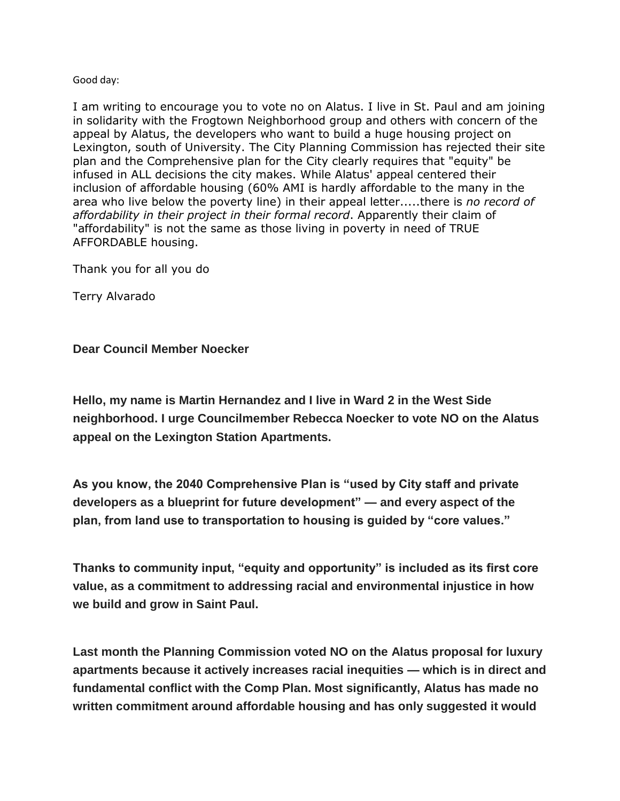## Good day:

I am writing to encourage you to vote no on Alatus. I live in St. Paul and am joining in solidarity with the Frogtown Neighborhood group and others with concern of the appeal by Alatus, the developers who want to build a huge housing project on Lexington, south of University. The City Planning Commission has rejected their site plan and the Comprehensive plan for the City clearly requires that "equity" be infused in ALL decisions the city makes. While Alatus' appeal centered their inclusion of affordable housing (60% AMI is hardly affordable to the many in the area who live below the poverty line) in their appeal letter.....there is *no record of affordability in their project in their formal record*. Apparently their claim of "affordability" is not the same as those living in poverty in need of TRUE AFFORDABLE housing.

Thank you for all you do

Terry Alvarado

## **Dear Council Member Noecker**

**Hello, my name is Martin Hernandez and I live in Ward 2 in the West Side neighborhood. I urge Councilmember Rebecca Noecker to vote NO on the Alatus appeal on the Lexington Station Apartments.**

**As you know, the 2040 Comprehensive Plan is "used by City staff and private developers as a blueprint for future development" — and every aspect of the plan, from land use to transportation to housing is guided by "core values."**

**Thanks to community input, "equity and opportunity" is included as its first core value, as a commitment to addressing racial and environmental injustice in how we build and grow in Saint Paul.**

**Last month the Planning Commission voted NO on the Alatus proposal for luxury apartments because it actively increases racial inequities — which is in direct and fundamental conflict with the Comp Plan. Most significantly, Alatus has made no written commitment around affordable housing and has only suggested it would**